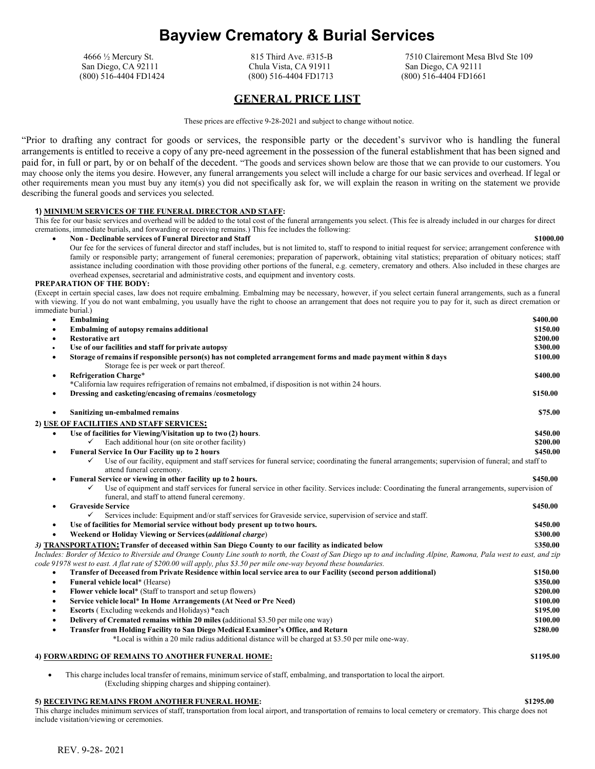# **Bayview Crematory & Burial Services**

(800) 516-4404 FD1424 (800) 516-4404 FD1713 (800) 516-4404 FD1661

San Diego, CA 92111 Chula Vista, CA 91911 San Diego, CA 92111

4666 ½ Mercury St. 815 Third Ave. #315-B 7510 Clairemont Mesa Blvd Ste 109

# **GENERAL PRICE LIST**

These prices are effective 9-28-2021 and subject to change without notice.

"Prior to drafting any contract for goods or services, the responsible party or the decedent's survivor who is handling the funeral arrangements is entitled to receive a copy of any pre-need agreement in the possession of the funeral establishment that has been signed and paid for, in full or part, by or on behalf of the decedent. "The goods and services shown below are those that we can provide to our customers. You may choose only the items you desire. However, any funeral arrangements you select will include a charge for our basic services and overhead. If legal or other requirements mean you must buy any item(s) you did not specifically ask for, we will explain the reason in writing on the statement we provide describing the funeral goods and services you selected.

#### **1) MINIMUM SERVICES OF THE FUNERAL DIRECTOR AND STAFF:**

This fee for our basic services and overhead will be added to the total cost of the funeral arrangements you select. (This fee is already included in our charges for direct cremations, immediate burials, and forwarding or receiving remains.) This fee includes the following:

• **Non - Declinable services of Funeral Director and Staff \$1000.00** Our fee for the services of funeral director and staff includes, but is not limited to, staff to respond to initial request for service; arrangement conference with family or responsible party; arrangement of funeral ceremonies; preparation of paperwork, obtaining vital statistics; preparation of obituary notices; staff assistance including coordination with those providing other portions of the funeral, e.g. cemetery, crematory and others. Also included in these charges are overhead expenses, secretarial and administrative costs, and equipment and inventory costs.

#### **PREPARATION OF THE BODY:**

(Except in certain special cases, law does not require embalming. Embalming may be necessary, however, if you select certain funeral arrangements, such as a funeral with viewing. If you do not want embalming, you usually have the right to choose an arrangement that does not require you to pay for it, such as direct cremation or immediate burial.)

| $\bullet$ | Embalming                                                                                                                                                                                            | \$400.00  |
|-----------|------------------------------------------------------------------------------------------------------------------------------------------------------------------------------------------------------|-----------|
|           | <b>Embalming of autopsy remains additional</b>                                                                                                                                                       | \$150.00  |
| $\bullet$ | <b>Restorative art</b>                                                                                                                                                                               | \$200.00  |
| ٠         | Use of our facilities and staff for private autopsy                                                                                                                                                  | \$300.00  |
| ٠         | Storage of remains if responsible person(s) has not completed arrangement forms and made payment within 8 days<br>Storage fee is per week or part thereof.                                           | \$100.00  |
| $\bullet$ | <b>Refrigeration Charge*</b>                                                                                                                                                                         | \$400.00  |
|           | *California law requires refrigeration of remains not embalmed, if disposition is not within 24 hours.                                                                                               |           |
| $\bullet$ | Dressing and casketing/encasing of remains /cosmetology                                                                                                                                              | \$150.00  |
| $\bullet$ | Sanitizing un-embalmed remains                                                                                                                                                                       | \$75.00   |
|           | 2) USE OF FACILITIES AND STAFF SERVICES:                                                                                                                                                             |           |
| ٠         | Use of facilities for Viewing/Visitation up to two (2) hours.                                                                                                                                        | \$450.00  |
|           | Each additional hour (on site or other facility)                                                                                                                                                     | \$200.00  |
| $\bullet$ | <b>Funeral Service In Our Facility up to 2 hours</b>                                                                                                                                                 | \$450.00  |
|           | Use of our facility, equipment and staff services for funeral service; coordinating the funeral arrangements; supervision of funeral; and staff to<br>✓<br>attend funeral ceremony.                  |           |
| $\bullet$ | Funeral Service or viewing in other facility up to 2 hours.                                                                                                                                          | \$450.00  |
|           | Use of equipment and staff services for funeral service in other facility. Services include: Coordinating the funeral arrangements, supervision of<br>funeral, and staff to attend funeral ceremony. |           |
| ٠         | <b>Graveside Service</b>                                                                                                                                                                             | \$450.00  |
|           | ✓<br>Services include: Equipment and/or staff services for Graveside service, supervision of service and staff.                                                                                      |           |
| ٠         | Use of facilities for Memorial service without body present up to two hours.                                                                                                                         | \$450.00  |
|           | Weekend or Holiday Viewing or Services (additional charge)                                                                                                                                           | \$300.00  |
|           | 3) TRANSPORTATION: Transfer of deceased within San Diego County to our facility as indicated below                                                                                                   | \$350.00  |
|           | Includes: Border of Mexico to Riverside and Orange County Line south to north, the Coast of San Diego up to and including Alpine, Ramona, Pala west to east, and zip                                 |           |
|           | code 91978 west to east. A flat rate of \$200.00 will apply, plus \$3.50 per mile one-way beyond these boundaries.                                                                                   |           |
| $\bullet$ | Transfer of Deceased from Private Residence within local service area to our Facility (second person additional)                                                                                     | \$150.00  |
| $\bullet$ | Funeral vehicle local* (Hearse)                                                                                                                                                                      | \$350.00  |
| $\bullet$ | Flower vehicle local* (Staff to transport and set up flowers)                                                                                                                                        | \$200.00  |
| ٠         | Service vehicle local* In Home Arrangements (At Need or Pre Need)                                                                                                                                    | \$100.00  |
| ٠         | <b>Escorts</b> (Excluding weekends and Holidays) *each                                                                                                                                               | \$195.00  |
| $\bullet$ | Delivery of Cremated remains within 20 miles (additional \$3.50 per mile one way)                                                                                                                    | \$100.00  |
| $\bullet$ | <b>Transfer from Holding Facility to San Diego Medical Examiner's Office, and Return</b>                                                                                                             | \$280.00  |
|           | *Local is within a 20 mile radius additional distance will be charged at \$3.50 per mile one-way.                                                                                                    |           |
|           | 4) FORWARDING OF REMAINS TO ANOTHER FUNERAL HOME:                                                                                                                                                    | \$1195.00 |
|           |                                                                                                                                                                                                      |           |

• This charge includes local transfer of remains, minimum service of staff, embalming, and transportation to local the airport. (Excluding shipping charges and shipping container).

#### **5) RECEIVING REMAINS FROM ANOTHER FUNERAL HOME: \$1295.00**

This charge includes minimum services of staff, transportation from local airport, and transportation of remains to local cemetery or crematory. This charge does not include visitation/viewing or ceremonies.